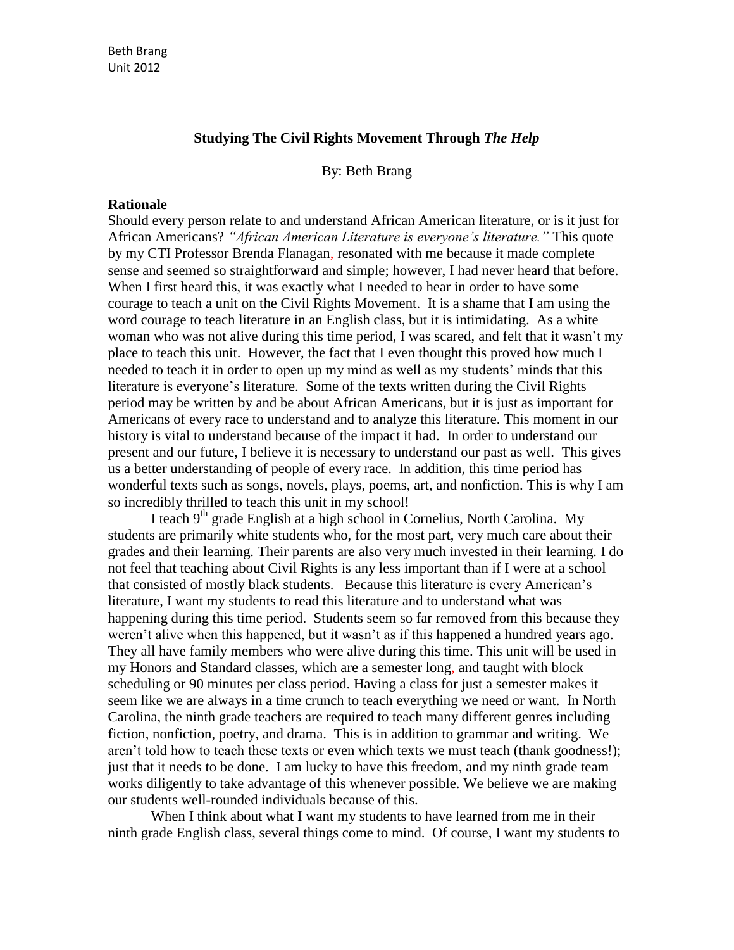#### **Studying The Civil Rights Movement Through** *The Help*

By: Beth Brang

#### **Rationale**

Should every person relate to and understand African American literature, or is it just for African Americans? *"African American Literature is everyone's literature."* This quote by my CTI Professor Brenda Flanagan, resonated with me because it made complete sense and seemed so straightforward and simple; however, I had never heard that before. When I first heard this, it was exactly what I needed to hear in order to have some courage to teach a unit on the Civil Rights Movement. It is a shame that I am using the word courage to teach literature in an English class, but it is intimidating. As a white woman who was not alive during this time period, I was scared, and felt that it wasn't my place to teach this unit. However, the fact that I even thought this proved how much I needed to teach it in order to open up my mind as well as my students' minds that this literature is everyone's literature. Some of the texts written during the Civil Rights period may be written by and be about African Americans, but it is just as important for Americans of every race to understand and to analyze this literature. This moment in our history is vital to understand because of the impact it had. In order to understand our present and our future, I believe it is necessary to understand our past as well. This gives us a better understanding of people of every race. In addition, this time period has wonderful texts such as songs, novels, plays, poems, art, and nonfiction. This is why I am so incredibly thrilled to teach this unit in my school!

I teach 9<sup>th</sup> grade English at a high school in Cornelius, North Carolina. My students are primarily white students who, for the most part, very much care about their grades and their learning. Their parents are also very much invested in their learning. I do not feel that teaching about Civil Rights is any less important than if I were at a school that consisted of mostly black students. Because this literature is every American's literature, I want my students to read this literature and to understand what was happening during this time period. Students seem so far removed from this because they weren't alive when this happened, but it wasn't as if this happened a hundred years ago. They all have family members who were alive during this time. This unit will be used in my Honors and Standard classes, which are a semester long, and taught with block scheduling or 90 minutes per class period. Having a class for just a semester makes it seem like we are always in a time crunch to teach everything we need or want. In North Carolina, the ninth grade teachers are required to teach many different genres including fiction, nonfiction, poetry, and drama. This is in addition to grammar and writing. We aren't told how to teach these texts or even which texts we must teach (thank goodness!); just that it needs to be done. I am lucky to have this freedom, and my ninth grade team works diligently to take advantage of this whenever possible. We believe we are making our students well-rounded individuals because of this.

When I think about what I want my students to have learned from me in their ninth grade English class, several things come to mind. Of course, I want my students to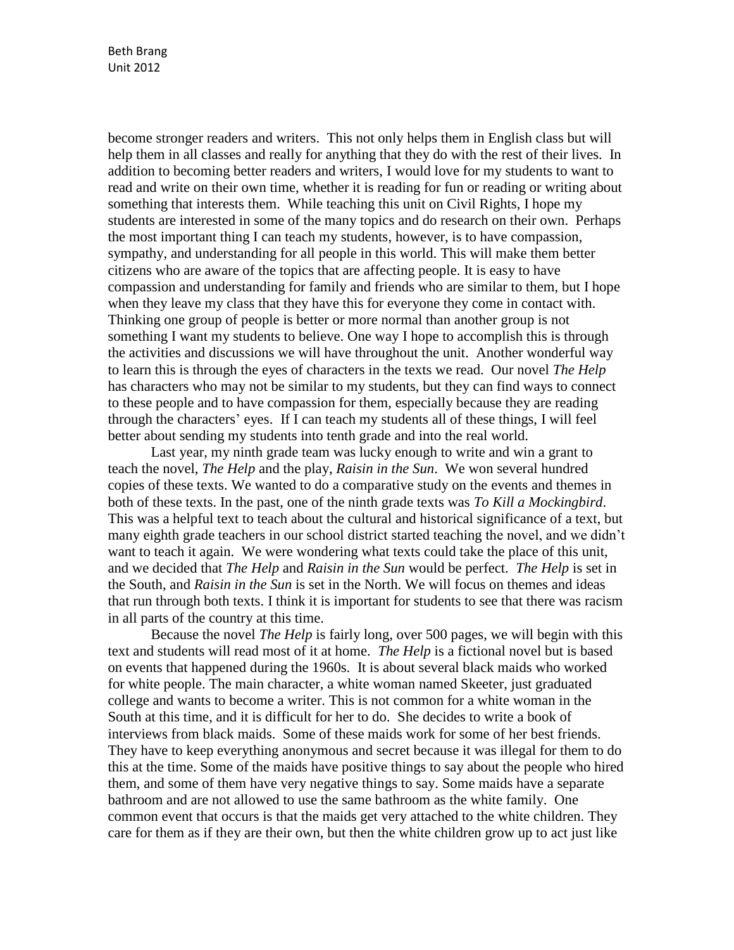become stronger readers and writers. This not only helps them in English class but will help them in all classes and really for anything that they do with the rest of their lives. In addition to becoming better readers and writers, I would love for my students to want to read and write on their own time, whether it is reading for fun or reading or writing about something that interests them. While teaching this unit on Civil Rights, I hope my students are interested in some of the many topics and do research on their own. Perhaps the most important thing I can teach my students, however, is to have compassion, sympathy, and understanding for all people in this world. This will make them better citizens who are aware of the topics that are affecting people. It is easy to have compassion and understanding for family and friends who are similar to them, but I hope when they leave my class that they have this for everyone they come in contact with. Thinking one group of people is better or more normal than another group is not something I want my students to believe. One way I hope to accomplish this is through the activities and discussions we will have throughout the unit. Another wonderful way to learn this is through the eyes of characters in the texts we read. Our novel *The Help* has characters who may not be similar to my students, but they can find ways to connect to these people and to have compassion for them, especially because they are reading through the characters' eyes. If I can teach my students all of these things, I will feel better about sending my students into tenth grade and into the real world.

Last year, my ninth grade team was lucky enough to write and win a grant to teach the novel, *The Help* and the play, *Raisin in the Sun*. We won several hundred copies of these texts. We wanted to do a comparative study on the events and themes in both of these texts. In the past, one of the ninth grade texts was *To Kill a Mockingbird*. This was a helpful text to teach about the cultural and historical significance of a text, but many eighth grade teachers in our school district started teaching the novel, and we didn't want to teach it again. We were wondering what texts could take the place of this unit, and we decided that *The Help* and *Raisin in the Sun* would be perfect. *The Help* is set in the South, and *Raisin in the Sun* is set in the North. We will focus on themes and ideas that run through both texts. I think it is important for students to see that there was racism in all parts of the country at this time.

Because the novel *The Help* is fairly long, over 500 pages, we will begin with this text and students will read most of it at home. *The Help* is a fictional novel but is based on events that happened during the 1960s. It is about several black maids who worked for white people. The main character, a white woman named Skeeter, just graduated college and wants to become a writer. This is not common for a white woman in the South at this time, and it is difficult for her to do. She decides to write a book of interviews from black maids. Some of these maids work for some of her best friends. They have to keep everything anonymous and secret because it was illegal for them to do this at the time. Some of the maids have positive things to say about the people who hired them, and some of them have very negative things to say. Some maids have a separate bathroom and are not allowed to use the same bathroom as the white family. One common event that occurs is that the maids get very attached to the white children. They care for them as if they are their own, but then the white children grow up to act just like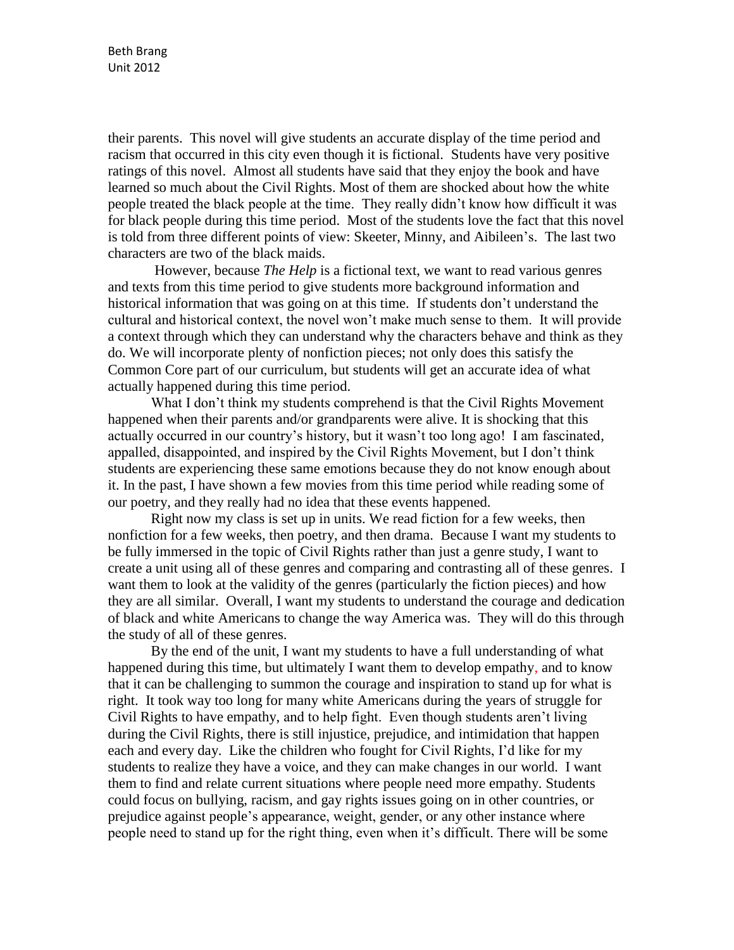their parents. This novel will give students an accurate display of the time period and racism that occurred in this city even though it is fictional. Students have very positive ratings of this novel. Almost all students have said that they enjoy the book and have learned so much about the Civil Rights. Most of them are shocked about how the white people treated the black people at the time. They really didn't know how difficult it was for black people during this time period. Most of the students love the fact that this novel is told from three different points of view: Skeeter, Minny, and Aibileen's. The last two characters are two of the black maids.

However, because *The Help* is a fictional text, we want to read various genres and texts from this time period to give students more background information and historical information that was going on at this time. If students don't understand the cultural and historical context, the novel won't make much sense to them. It will provide a context through which they can understand why the characters behave and think as they do. We will incorporate plenty of nonfiction pieces; not only does this satisfy the Common Core part of our curriculum, but students will get an accurate idea of what actually happened during this time period.

What I don't think my students comprehend is that the Civil Rights Movement happened when their parents and/or grandparents were alive. It is shocking that this actually occurred in our country's history, but it wasn't too long ago! I am fascinated, appalled, disappointed, and inspired by the Civil Rights Movement, but I don't think students are experiencing these same emotions because they do not know enough about it. In the past, I have shown a few movies from this time period while reading some of our poetry, and they really had no idea that these events happened.

Right now my class is set up in units. We read fiction for a few weeks, then nonfiction for a few weeks, then poetry, and then drama. Because I want my students to be fully immersed in the topic of Civil Rights rather than just a genre study, I want to create a unit using all of these genres and comparing and contrasting all of these genres. I want them to look at the validity of the genres (particularly the fiction pieces) and how they are all similar. Overall, I want my students to understand the courage and dedication of black and white Americans to change the way America was. They will do this through the study of all of these genres.

By the end of the unit, I want my students to have a full understanding of what happened during this time, but ultimately I want them to develop empathy, and to know that it can be challenging to summon the courage and inspiration to stand up for what is right. It took way too long for many white Americans during the years of struggle for Civil Rights to have empathy, and to help fight. Even though students aren't living during the Civil Rights, there is still injustice, prejudice, and intimidation that happen each and every day. Like the children who fought for Civil Rights, I'd like for my students to realize they have a voice, and they can make changes in our world. I want them to find and relate current situations where people need more empathy. Students could focus on bullying, racism, and gay rights issues going on in other countries, or prejudice against people's appearance, weight, gender, or any other instance where people need to stand up for the right thing, even when it's difficult. There will be some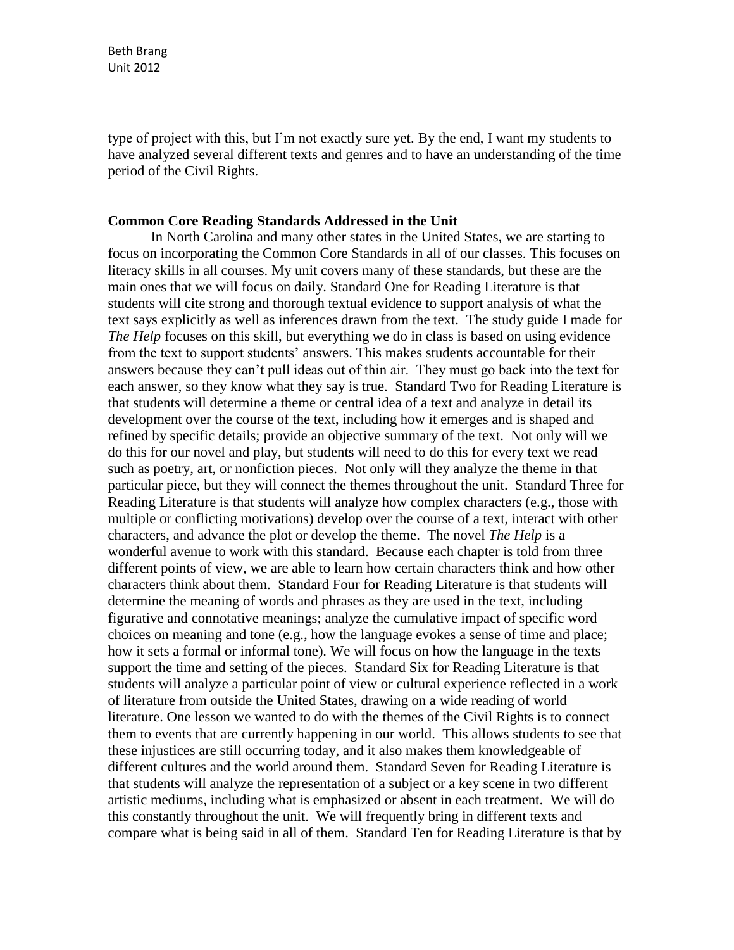Beth Brang Unit 2012

type of project with this, but I'm not exactly sure yet. By the end, I want my students to have analyzed several different texts and genres and to have an understanding of the time period of the Civil Rights.

#### **Common Core Reading Standards Addressed in the Unit**

In North Carolina and many other states in the United States, we are starting to focus on incorporating the Common Core Standards in all of our classes. This focuses on literacy skills in all courses. My unit covers many of these standards, but these are the main ones that we will focus on daily. Standard One for Reading Literature is that students will cite strong and thorough textual evidence to support analysis of what the text says explicitly as well as inferences drawn from the text. The study guide I made for *The Help* focuses on this skill, but everything we do in class is based on using evidence from the text to support students' answers. This makes students accountable for their answers because they can't pull ideas out of thin air. They must go back into the text for each answer, so they know what they say is true. Standard Two for Reading Literature is that students will determine a theme or central idea of a text and analyze in detail its development over the course of the text, including how it emerges and is shaped and refined by specific details; provide an objective summary of the text. Not only will we do this for our novel and play, but students will need to do this for every text we read such as poetry, art, or nonfiction pieces. Not only will they analyze the theme in that particular piece, but they will connect the themes throughout the unit. Standard Three for Reading Literature is that students will analyze how complex characters (e.g., those with multiple or conflicting motivations) develop over the course of a text, interact with other characters, and advance the plot or develop the theme. The novel *The Help* is a wonderful avenue to work with this standard. Because each chapter is told from three different points of view, we are able to learn how certain characters think and how other characters think about them. Standard Four for Reading Literature is that students will determine the meaning of words and phrases as they are used in the text, including figurative and connotative meanings; analyze the cumulative impact of specific word choices on meaning and tone (e.g., how the language evokes a sense of time and place; how it sets a formal or informal tone). We will focus on how the language in the texts support the time and setting of the pieces. Standard Six for Reading Literature is that students will analyze a particular point of view or cultural experience reflected in a work of literature from outside the United States, drawing on a wide reading of world literature. One lesson we wanted to do with the themes of the Civil Rights is to connect them to events that are currently happening in our world. This allows students to see that these injustices are still occurring today, and it also makes them knowledgeable of different cultures and the world around them. Standard Seven for Reading Literature is that students will analyze the representation of a subject or a key scene in two different artistic mediums, including what is emphasized or absent in each treatment. We will do this constantly throughout the unit. We will frequently bring in different texts and compare what is being said in all of them. Standard Ten for Reading Literature is that by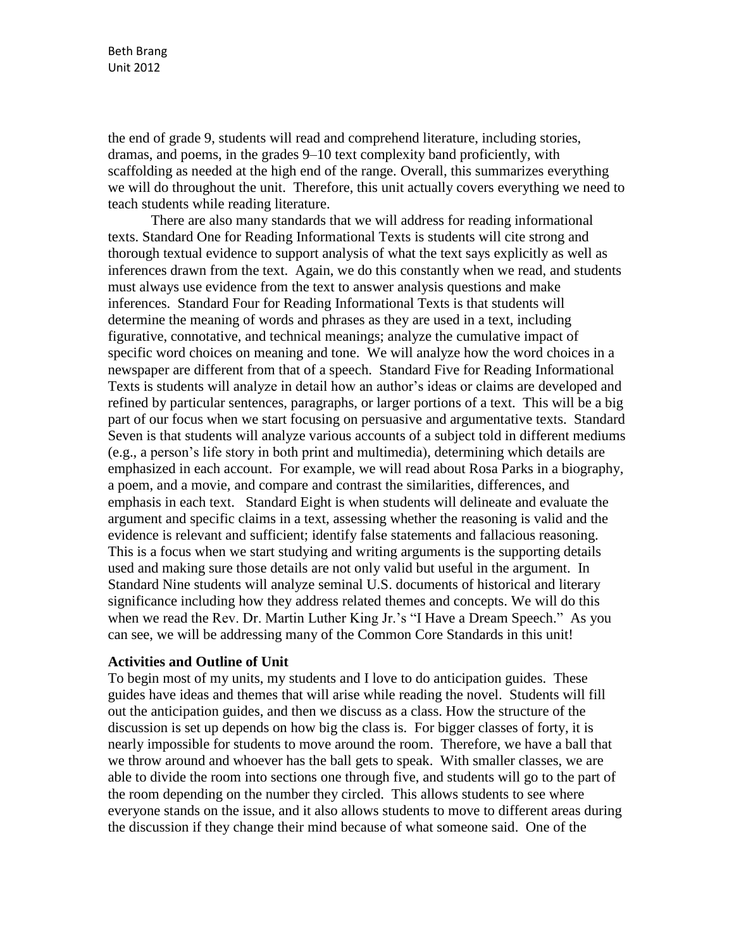the end of grade 9, students will read and comprehend literature, including stories, dramas, and poems, in the grades 9–10 text complexity band proficiently, with scaffolding as needed at the high end of the range. Overall, this summarizes everything we will do throughout the unit. Therefore, this unit actually covers everything we need to teach students while reading literature.

There are also many standards that we will address for reading informational texts. Standard One for Reading Informational Texts is students will cite strong and thorough textual evidence to support analysis of what the text says explicitly as well as inferences drawn from the text. Again, we do this constantly when we read, and students must always use evidence from the text to answer analysis questions and make inferences. Standard Four for Reading Informational Texts is that students will determine the meaning of words and phrases as they are used in a text, including figurative, connotative, and technical meanings; analyze the cumulative impact of specific word choices on meaning and tone. We will analyze how the word choices in a newspaper are different from that of a speech. Standard Five for Reading Informational Texts is students will analyze in detail how an author's ideas or claims are developed and refined by particular sentences, paragraphs, or larger portions of a text. This will be a big part of our focus when we start focusing on persuasive and argumentative texts. Standard Seven is that students will analyze various accounts of a subject told in different mediums (e.g., a person's life story in both print and multimedia), determining which details are emphasized in each account. For example, we will read about Rosa Parks in a biography, a poem, and a movie, and compare and contrast the similarities, differences, and emphasis in each text. Standard Eight is when students will delineate and evaluate the argument and specific claims in a text, assessing whether the reasoning is valid and the evidence is relevant and sufficient; identify false statements and fallacious reasoning. This is a focus when we start studying and writing arguments is the supporting details used and making sure those details are not only valid but useful in the argument. In Standard Nine students will analyze seminal U.S. documents of historical and literary significance including how they address related themes and concepts. We will do this when we read the Rev. Dr. Martin Luther King Jr.'s "I Have a Dream Speech." As you can see, we will be addressing many of the Common Core Standards in this unit!

#### **Activities and Outline of Unit**

To begin most of my units, my students and I love to do anticipation guides. These guides have ideas and themes that will arise while reading the novel. Students will fill out the anticipation guides, and then we discuss as a class. How the structure of the discussion is set up depends on how big the class is. For bigger classes of forty, it is nearly impossible for students to move around the room. Therefore, we have a ball that we throw around and whoever has the ball gets to speak. With smaller classes, we are able to divide the room into sections one through five, and students will go to the part of the room depending on the number they circled. This allows students to see where everyone stands on the issue, and it also allows students to move to different areas during the discussion if they change their mind because of what someone said. One of the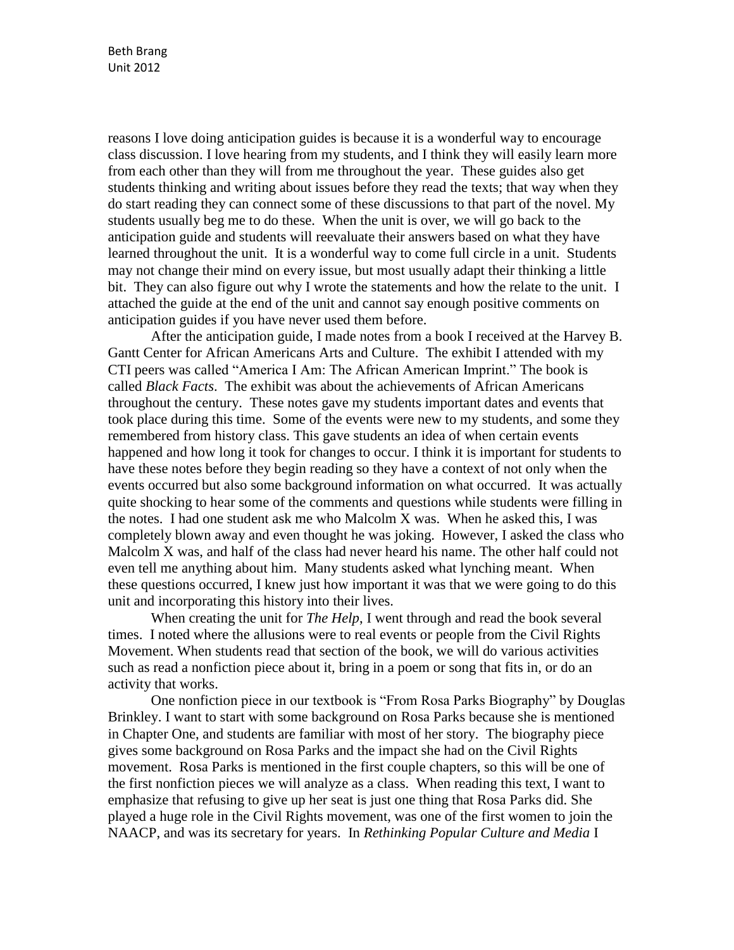reasons I love doing anticipation guides is because it is a wonderful way to encourage class discussion. I love hearing from my students, and I think they will easily learn more from each other than they will from me throughout the year. These guides also get students thinking and writing about issues before they read the texts; that way when they do start reading they can connect some of these discussions to that part of the novel. My students usually beg me to do these. When the unit is over, we will go back to the anticipation guide and students will reevaluate their answers based on what they have learned throughout the unit. It is a wonderful way to come full circle in a unit. Students may not change their mind on every issue, but most usually adapt their thinking a little bit. They can also figure out why I wrote the statements and how the relate to the unit. I attached the guide at the end of the unit and cannot say enough positive comments on anticipation guides if you have never used them before.

After the anticipation guide, I made notes from a book I received at the Harvey B. Gantt Center for African Americans Arts and Culture. The exhibit I attended with my CTI peers was called "America I Am: The African American Imprint." The book is called *Black Facts*. The exhibit was about the achievements of African Americans throughout the century. These notes gave my students important dates and events that took place during this time. Some of the events were new to my students, and some they remembered from history class. This gave students an idea of when certain events happened and how long it took for changes to occur. I think it is important for students to have these notes before they begin reading so they have a context of not only when the events occurred but also some background information on what occurred. It was actually quite shocking to hear some of the comments and questions while students were filling in the notes. I had one student ask me who Malcolm X was. When he asked this, I was completely blown away and even thought he was joking. However, I asked the class who Malcolm X was, and half of the class had never heard his name. The other half could not even tell me anything about him. Many students asked what lynching meant. When these questions occurred, I knew just how important it was that we were going to do this unit and incorporating this history into their lives.

When creating the unit for *The Help*, I went through and read the book several times. I noted where the allusions were to real events or people from the Civil Rights Movement. When students read that section of the book, we will do various activities such as read a nonfiction piece about it, bring in a poem or song that fits in, or do an activity that works.

One nonfiction piece in our textbook is "From Rosa Parks Biography" by Douglas Brinkley. I want to start with some background on Rosa Parks because she is mentioned in Chapter One, and students are familiar with most of her story. The biography piece gives some background on Rosa Parks and the impact she had on the Civil Rights movement. Rosa Parks is mentioned in the first couple chapters, so this will be one of the first nonfiction pieces we will analyze as a class. When reading this text, I want to emphasize that refusing to give up her seat is just one thing that Rosa Parks did. She played a huge role in the Civil Rights movement, was one of the first women to join the NAACP, and was its secretary for years. In *Rethinking Popular Culture and Media* I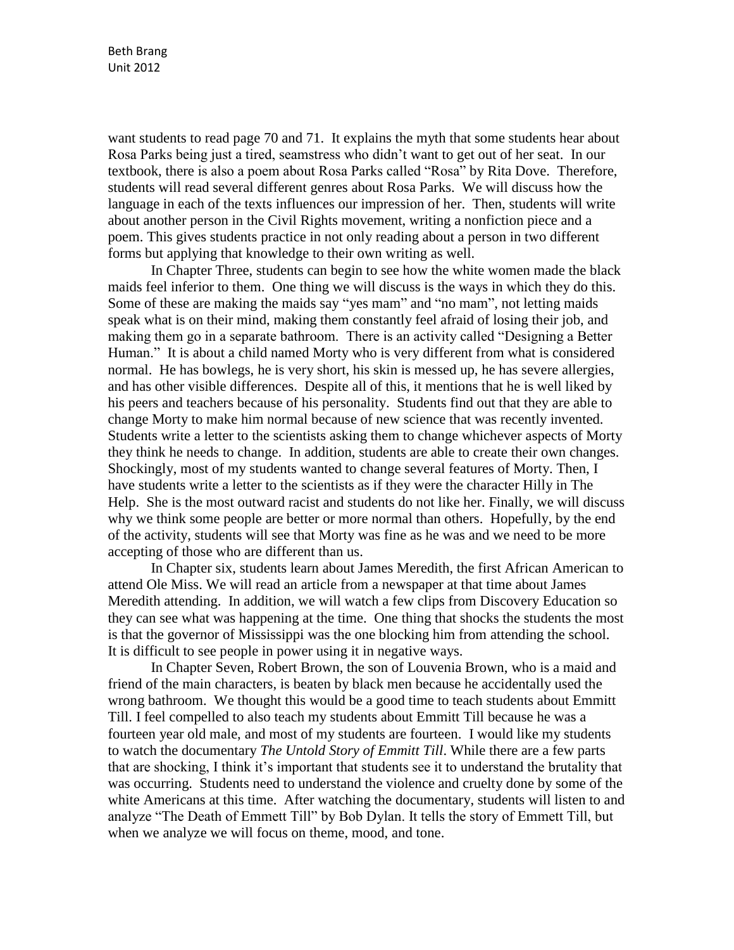want students to read page 70 and 71. It explains the myth that some students hear about Rosa Parks being just a tired, seamstress who didn't want to get out of her seat. In our textbook, there is also a poem about Rosa Parks called "Rosa" by Rita Dove. Therefore, students will read several different genres about Rosa Parks. We will discuss how the language in each of the texts influences our impression of her. Then, students will write about another person in the Civil Rights movement, writing a nonfiction piece and a poem. This gives students practice in not only reading about a person in two different forms but applying that knowledge to their own writing as well.

In Chapter Three, students can begin to see how the white women made the black maids feel inferior to them. One thing we will discuss is the ways in which they do this. Some of these are making the maids say "yes mam" and "no mam", not letting maids speak what is on their mind, making them constantly feel afraid of losing their job, and making them go in a separate bathroom. There is an activity called "Designing a Better Human." It is about a child named Morty who is very different from what is considered normal. He has bowlegs, he is very short, his skin is messed up, he has severe allergies, and has other visible differences. Despite all of this, it mentions that he is well liked by his peers and teachers because of his personality. Students find out that they are able to change Morty to make him normal because of new science that was recently invented. Students write a letter to the scientists asking them to change whichever aspects of Morty they think he needs to change. In addition, students are able to create their own changes. Shockingly, most of my students wanted to change several features of Morty. Then, I have students write a letter to the scientists as if they were the character Hilly in The Help. She is the most outward racist and students do not like her. Finally, we will discuss why we think some people are better or more normal than others. Hopefully, by the end of the activity, students will see that Morty was fine as he was and we need to be more accepting of those who are different than us.

In Chapter six, students learn about James Meredith, the first African American to attend Ole Miss. We will read an article from a newspaper at that time about James Meredith attending. In addition, we will watch a few clips from Discovery Education so they can see what was happening at the time. One thing that shocks the students the most is that the governor of Mississippi was the one blocking him from attending the school. It is difficult to see people in power using it in negative ways.

In Chapter Seven, Robert Brown, the son of Louvenia Brown, who is a maid and friend of the main characters, is beaten by black men because he accidentally used the wrong bathroom. We thought this would be a good time to teach students about Emmitt Till. I feel compelled to also teach my students about Emmitt Till because he was a fourteen year old male, and most of my students are fourteen. I would like my students to watch the documentary *The Untold Story of Emmitt Till*. While there are a few parts that are shocking, I think it's important that students see it to understand the brutality that was occurring. Students need to understand the violence and cruelty done by some of the white Americans at this time. After watching the documentary, students will listen to and analyze "The Death of Emmett Till" by Bob Dylan. It tells the story of Emmett Till, but when we analyze we will focus on theme, mood, and tone.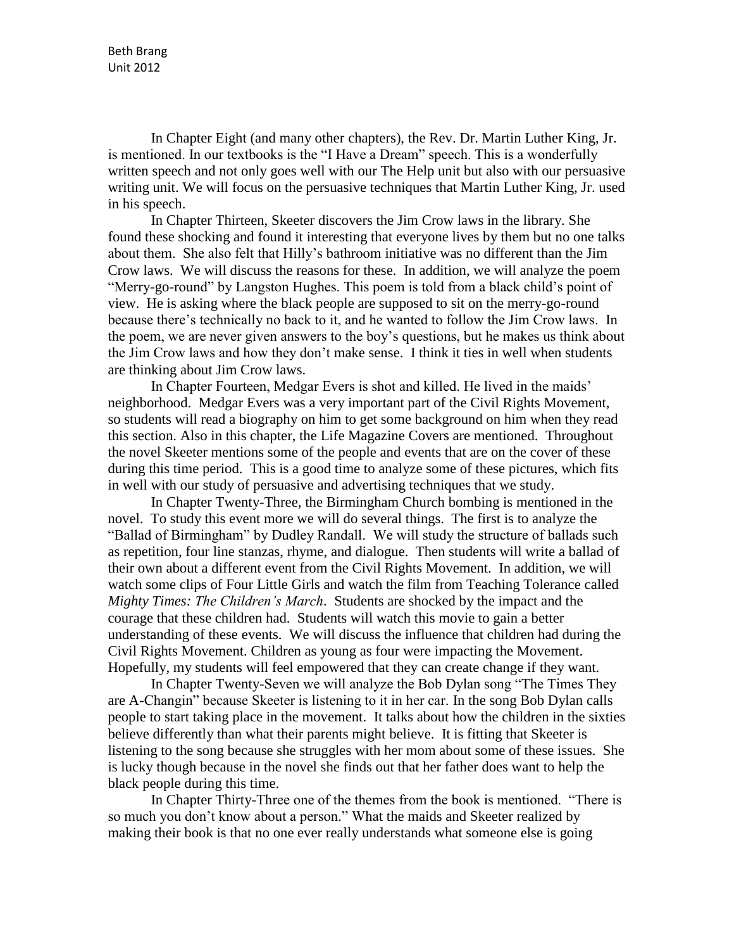In Chapter Eight (and many other chapters), the Rev. Dr. Martin Luther King, Jr. is mentioned. In our textbooks is the "I Have a Dream" speech. This is a wonderfully written speech and not only goes well with our The Help unit but also with our persuasive writing unit. We will focus on the persuasive techniques that Martin Luther King, Jr. used in his speech.

In Chapter Thirteen, Skeeter discovers the Jim Crow laws in the library. She found these shocking and found it interesting that everyone lives by them but no one talks about them. She also felt that Hilly's bathroom initiative was no different than the Jim Crow laws. We will discuss the reasons for these. In addition, we will analyze the poem "Merry-go-round" by Langston Hughes. This poem is told from a black child's point of view. He is asking where the black people are supposed to sit on the merry-go-round because there's technically no back to it, and he wanted to follow the Jim Crow laws. In the poem, we are never given answers to the boy's questions, but he makes us think about the Jim Crow laws and how they don't make sense. I think it ties in well when students are thinking about Jim Crow laws.

In Chapter Fourteen, Medgar Evers is shot and killed. He lived in the maids' neighborhood. Medgar Evers was a very important part of the Civil Rights Movement, so students will read a biography on him to get some background on him when they read this section. Also in this chapter, the Life Magazine Covers are mentioned. Throughout the novel Skeeter mentions some of the people and events that are on the cover of these during this time period. This is a good time to analyze some of these pictures, which fits in well with our study of persuasive and advertising techniques that we study.

In Chapter Twenty-Three, the Birmingham Church bombing is mentioned in the novel. To study this event more we will do several things. The first is to analyze the "Ballad of Birmingham" by Dudley Randall. We will study the structure of ballads such as repetition, four line stanzas, rhyme, and dialogue. Then students will write a ballad of their own about a different event from the Civil Rights Movement. In addition, we will watch some clips of Four Little Girls and watch the film from Teaching Tolerance called *Mighty Times: The Children's March*. Students are shocked by the impact and the courage that these children had. Students will watch this movie to gain a better understanding of these events. We will discuss the influence that children had during the Civil Rights Movement. Children as young as four were impacting the Movement. Hopefully, my students will feel empowered that they can create change if they want.

In Chapter Twenty-Seven we will analyze the Bob Dylan song "The Times They are A-Changin" because Skeeter is listening to it in her car. In the song Bob Dylan calls people to start taking place in the movement. It talks about how the children in the sixties believe differently than what their parents might believe. It is fitting that Skeeter is listening to the song because she struggles with her mom about some of these issues. She is lucky though because in the novel she finds out that her father does want to help the black people during this time.

In Chapter Thirty-Three one of the themes from the book is mentioned. "There is so much you don't know about a person." What the maids and Skeeter realized by making their book is that no one ever really understands what someone else is going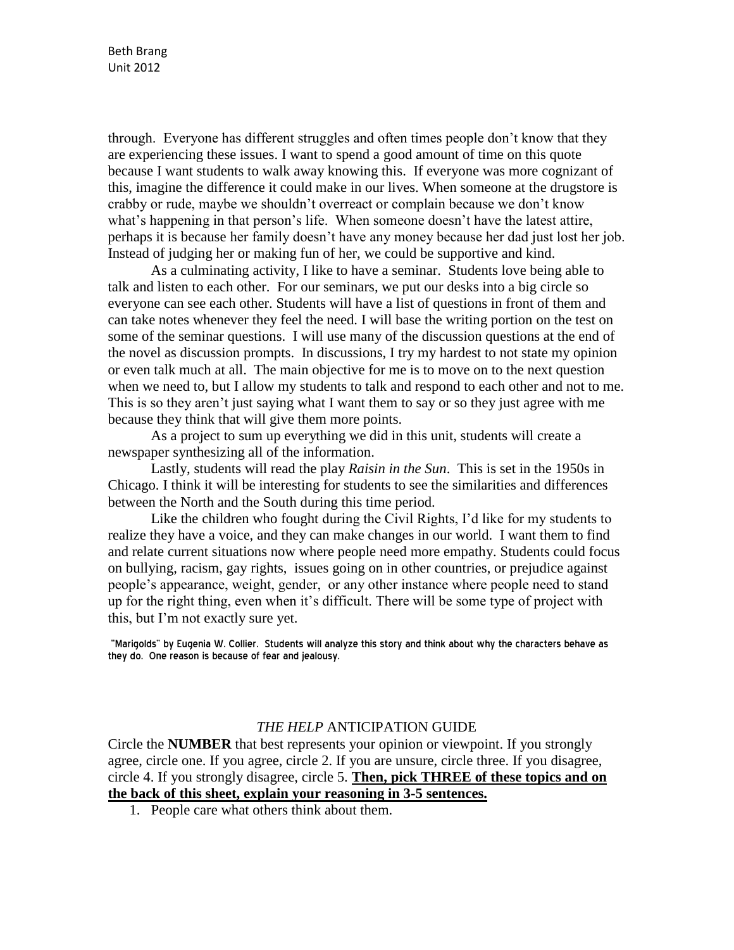through. Everyone has different struggles and often times people don't know that they are experiencing these issues. I want to spend a good amount of time on this quote because I want students to walk away knowing this. If everyone was more cognizant of this, imagine the difference it could make in our lives. When someone at the drugstore is crabby or rude, maybe we shouldn't overreact or complain because we don't know what's happening in that person's life. When someone doesn't have the latest attire, perhaps it is because her family doesn't have any money because her dad just lost her job. Instead of judging her or making fun of her, we could be supportive and kind.

As a culminating activity, I like to have a seminar. Students love being able to talk and listen to each other. For our seminars, we put our desks into a big circle so everyone can see each other. Students will have a list of questions in front of them and can take notes whenever they feel the need. I will base the writing portion on the test on some of the seminar questions. I will use many of the discussion questions at the end of the novel as discussion prompts. In discussions, I try my hardest to not state my opinion or even talk much at all. The main objective for me is to move on to the next question when we need to, but I allow my students to talk and respond to each other and not to me. This is so they aren't just saying what I want them to say or so they just agree with me because they think that will give them more points.

As a project to sum up everything we did in this unit, students will create a newspaper synthesizing all of the information.

Lastly, students will read the play *Raisin in the Sun*. This is set in the 1950s in Chicago. I think it will be interesting for students to see the similarities and differences between the North and the South during this time period.

Like the children who fought during the Civil Rights, I'd like for my students to realize they have a voice, and they can make changes in our world. I want them to find and relate current situations now where people need more empathy. Students could focus on bullying, racism, gay rights, issues going on in other countries, or prejudice against people's appearance, weight, gender, or any other instance where people need to stand up for the right thing, even when it's difficult. There will be some type of project with this, but I'm not exactly sure yet.

"Marigolds" by Eugenia W. Collier. Students will analyze this story and think about why the characters behave as they do. One reason is because of fear and jealousy.

#### *THE HELP* ANTICIPATION GUIDE

Circle the **NUMBER** that best represents your opinion or viewpoint. If you strongly agree, circle one. If you agree, circle 2. If you are unsure, circle three. If you disagree, circle 4. If you strongly disagree, circle 5. **Then, pick THREE of these topics and on the back of this sheet, explain your reasoning in 3-5 sentences.** 

1. People care what others think about them.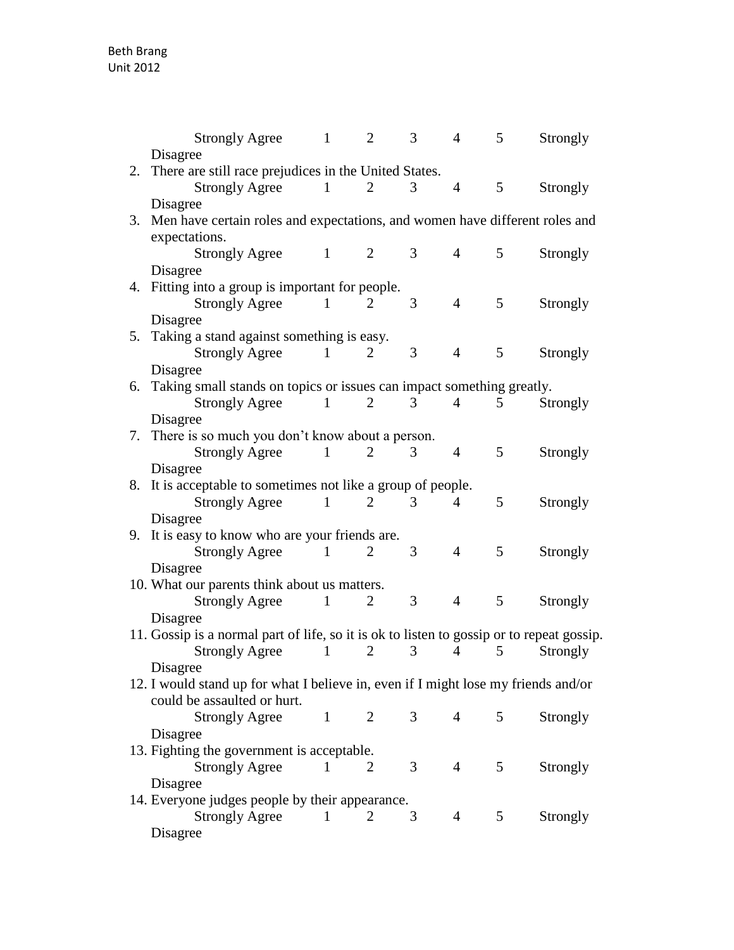|    | <b>Strongly Agree</b>                                                                     | $\mathbf{1}$ | $\overline{2}$ | 3              | $\overline{4}$ | 5 | Strongly |  |
|----|-------------------------------------------------------------------------------------------|--------------|----------------|----------------|----------------|---|----------|--|
|    | Disagree                                                                                  |              |                |                |                |   |          |  |
| 2. | There are still race prejudices in the United States.                                     |              |                |                |                |   |          |  |
|    | <b>Strongly Agree</b>                                                                     | $\mathbf{1}$ | 2              | 3              | $\overline{4}$ | 5 | Strongly |  |
|    | Disagree                                                                                  |              |                |                |                |   |          |  |
| 3. | Men have certain roles and expectations, and women have different roles and               |              |                |                |                |   |          |  |
|    | expectations.                                                                             |              |                |                |                |   |          |  |
|    | <b>Strongly Agree</b>                                                                     | $\mathbf{1}$ | 2              | 3              | $\overline{4}$ | 5 | Strongly |  |
|    | Disagree                                                                                  |              |                |                |                |   |          |  |
|    | 4. Fitting into a group is important for people.                                          |              |                |                |                |   |          |  |
|    | <b>Strongly Agree</b>                                                                     | $\mathbf{1}$ | 2              | 3              | $\overline{4}$ | 5 | Strongly |  |
|    | Disagree                                                                                  |              |                |                |                |   |          |  |
| 5. | Taking a stand against something is easy.                                                 |              |                |                |                |   |          |  |
|    | <b>Strongly Agree</b>                                                                     | 1            | 2              | 3              | $\overline{4}$ | 5 | Strongly |  |
|    | Disagree                                                                                  |              |                |                |                |   |          |  |
|    | 6. Taking small stands on topics or issues can impact something greatly.                  |              |                |                |                |   |          |  |
|    | <b>Strongly Agree</b>                                                                     | 1            | $\overline{2}$ | 3              | $\overline{4}$ | 5 | Strongly |  |
|    | Disagree                                                                                  |              |                |                |                |   |          |  |
| 7. | There is so much you don't know about a person.                                           |              |                |                |                |   |          |  |
|    | <b>Strongly Agree</b>                                                                     | 1            | 2              | 3              | $\overline{4}$ | 5 | Strongly |  |
|    | Disagree                                                                                  |              |                |                |                |   |          |  |
|    | 8. It is acceptable to sometimes not like a group of people.                              |              |                |                |                |   |          |  |
|    | <b>Strongly Agree</b>                                                                     | $\mathbf{1}$ | $\overline{2}$ | 3              | $\overline{4}$ | 5 | Strongly |  |
|    | Disagree                                                                                  |              |                |                |                |   |          |  |
|    | 9. It is easy to know who are your friends are.                                           |              |                |                |                |   |          |  |
|    | <b>Strongly Agree</b>                                                                     | 1            | $\overline{2}$ | 3              | $\overline{4}$ | 5 | Strongly |  |
|    | Disagree                                                                                  |              |                |                |                |   |          |  |
|    | 10. What our parents think about us matters.                                              |              |                |                |                |   |          |  |
|    | <b>Strongly Agree</b>                                                                     | $\mathbf{1}$ | 2              | 3 <sup>1</sup> | $\overline{4}$ | 5 | Strongly |  |
|    | Disagree                                                                                  |              |                |                |                |   |          |  |
|    | 11. Gossip is a normal part of life, so it is ok to listen to gossip or to repeat gossip. |              |                |                |                |   |          |  |
|    | <b>Strongly Agree</b>                                                                     | $\mathbf{1}$ | $\overline{2}$ | 3              | $\overline{4}$ | 5 | Strongly |  |
|    | Disagree                                                                                  |              |                |                |                |   |          |  |
|    | 12. I would stand up for what I believe in, even if I might lose my friends and/or        |              |                |                |                |   |          |  |
|    | could be assaulted or hurt.                                                               |              |                |                | $\overline{4}$ |   |          |  |
|    | <b>Strongly Agree</b>                                                                     | $\mathbf{1}$ | 2              | 3 <sup>7</sup> |                | 5 | Strongly |  |
|    | Disagree                                                                                  |              |                |                |                |   |          |  |
|    | 13. Fighting the government is acceptable.                                                | 1            | 2              | 3              | $\overline{4}$ | 5 |          |  |
|    | <b>Strongly Agree</b>                                                                     |              |                |                |                |   | Strongly |  |
|    | Disagree                                                                                  |              |                |                |                |   |          |  |
|    | 14. Everyone judges people by their appearance.                                           | 1            | $\overline{2}$ | 3              | $\overline{4}$ | 5 |          |  |
|    | <b>Strongly Agree</b>                                                                     |              |                |                |                |   | Strongly |  |
|    | Disagree                                                                                  |              |                |                |                |   |          |  |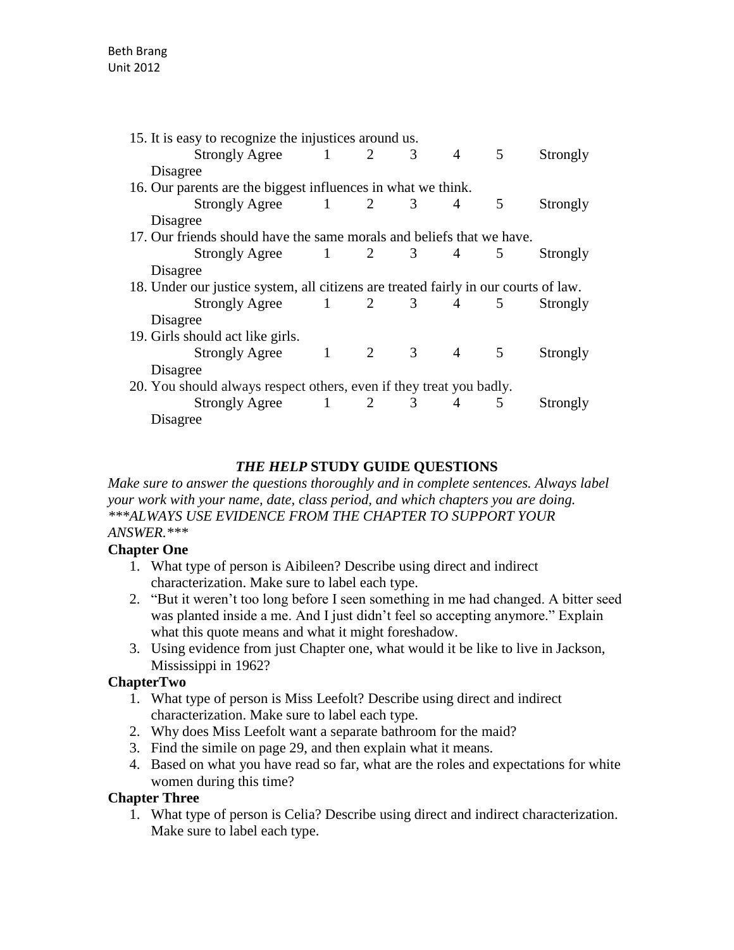| 15. It is easy to recognize the injustices around us.                               |  |  |   |            |   |          |
|-------------------------------------------------------------------------------------|--|--|---|------------|---|----------|
| $Strongly \, \text{Agree}$ 1 2                                                      |  |  | 3 | $4\degree$ | 5 | Strongly |
| Disagree                                                                            |  |  |   |            |   |          |
| 16. Our parents are the biggest influences in what we think.                        |  |  |   |            |   |          |
| Strongly Agree $1 \t 2 \t 3$                                                        |  |  |   | 4          | 5 | Strongly |
| Disagree                                                                            |  |  |   |            |   |          |
| 17. Our friends should have the same morals and beliefs that we have.               |  |  |   |            |   |          |
| Strongly Agree $1 \t 2 \t 3 \t 4 \t 5$                                              |  |  |   |            |   | Strongly |
| Disagree                                                                            |  |  |   |            |   |          |
| 18. Under our justice system, all citizens are treated fairly in our courts of law. |  |  |   |            |   |          |
| Strongly Agree $1 \t 2 \t 3 \t 4 \t 5$                                              |  |  |   |            |   | Strongly |
| Disagree                                                                            |  |  |   |            |   |          |
| 19. Girls should act like girls.                                                    |  |  |   |            |   |          |
| Strongly Agree $1 \t 2 \t 3 \t 4 \t 5$                                              |  |  |   |            |   | Strongly |
| Disagree                                                                            |  |  |   |            |   |          |
| 20. You should always respect others, even if they treat you badly.                 |  |  |   |            |   |          |
| Strongly Agree $1 \t 2 \t 3 \t 4$                                                   |  |  |   |            | 5 | Strongly |
| Disagree                                                                            |  |  |   |            |   |          |
|                                                                                     |  |  |   |            |   |          |

#### *THE HELP* **STUDY GUIDE QUESTIONS**

*Make sure to answer the questions thoroughly and in complete sentences. Always label your work with your name, date, class period, and which chapters you are doing. \*\*\*ALWAYS USE EVIDENCE FROM THE CHAPTER TO SUPPORT YOUR ANSWER.\*\*\**

# **Chapter One**

- 1. What type of person is Aibileen? Describe using direct and indirect characterization. Make sure to label each type.
- 2. "But it weren't too long before I seen something in me had changed. A bitter seed was planted inside a me. And I just didn't feel so accepting anymore." Explain what this quote means and what it might foreshadow.
- 3. Using evidence from just Chapter one, what would it be like to live in Jackson, Mississippi in 1962?

#### **ChapterTwo**

- 1. What type of person is Miss Leefolt? Describe using direct and indirect characterization. Make sure to label each type.
- 2. Why does Miss Leefolt want a separate bathroom for the maid?
- 3. Find the simile on page 29, and then explain what it means.
- 4. Based on what you have read so far, what are the roles and expectations for white women during this time?

#### **Chapter Three**

1. What type of person is Celia? Describe using direct and indirect characterization. Make sure to label each type.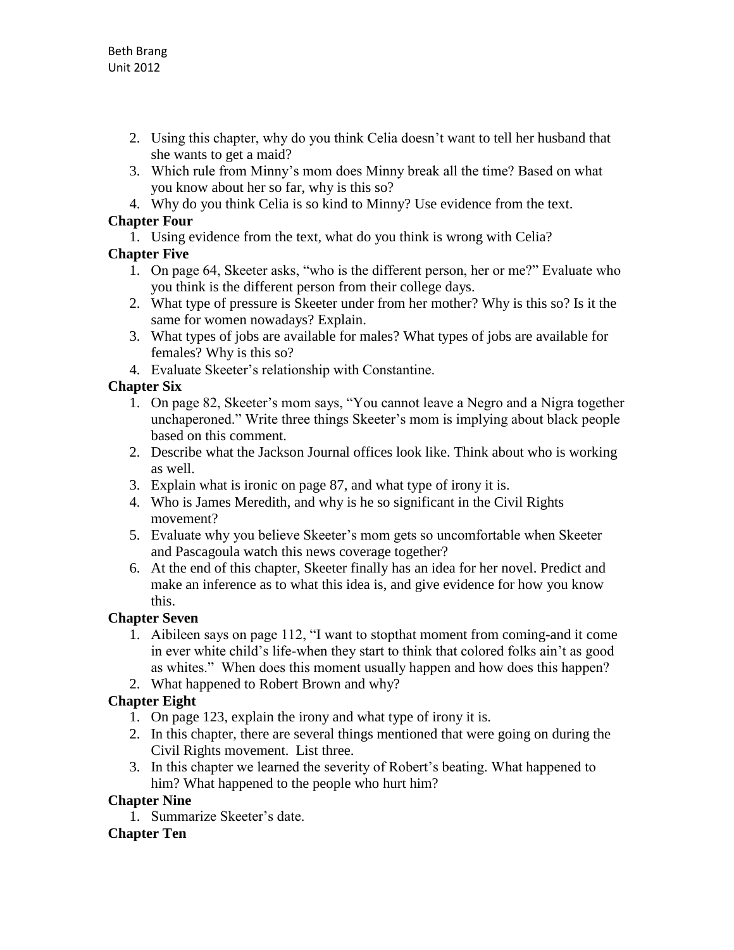- 2. Using this chapter, why do you think Celia doesn't want to tell her husband that she wants to get a maid?
- 3. Which rule from Minny's mom does Minny break all the time? Based on what you know about her so far, why is this so?
- 4. Why do you think Celia is so kind to Minny? Use evidence from the text.

#### **Chapter Four**

1. Using evidence from the text, what do you think is wrong with Celia?

# **Chapter Five**

- 1. On page 64, Skeeter asks, "who is the different person, her or me?" Evaluate who you think is the different person from their college days.
- 2. What type of pressure is Skeeter under from her mother? Why is this so? Is it the same for women nowadays? Explain.
- 3. What types of jobs are available for males? What types of jobs are available for females? Why is this so?
- 4. Evaluate Skeeter's relationship with Constantine.

# **Chapter Six**

- 1. On page 82, Skeeter's mom says, "You cannot leave a Negro and a Nigra together unchaperoned." Write three things Skeeter's mom is implying about black people based on this comment.
- 2. Describe what the Jackson Journal offices look like. Think about who is working as well.
- 3. Explain what is ironic on page 87, and what type of irony it is.
- 4. Who is James Meredith, and why is he so significant in the Civil Rights movement?
- 5. Evaluate why you believe Skeeter's mom gets so uncomfortable when Skeeter and Pascagoula watch this news coverage together?
- 6. At the end of this chapter, Skeeter finally has an idea for her novel. Predict and make an inference as to what this idea is, and give evidence for how you know this.

# **Chapter Seven**

- 1. Aibileen says on page 112, "I want to stopthat moment from coming-and it come in ever white child's life-when they start to think that colored folks ain't as good as whites." When does this moment usually happen and how does this happen?
- 2. What happened to Robert Brown and why?

# **Chapter Eight**

- 1. On page 123, explain the irony and what type of irony it is.
- 2. In this chapter, there are several things mentioned that were going on during the Civil Rights movement. List three.
- 3. In this chapter we learned the severity of Robert's beating. What happened to him? What happened to the people who hurt him?

# **Chapter Nine**

1. Summarize Skeeter's date.

# **Chapter Ten**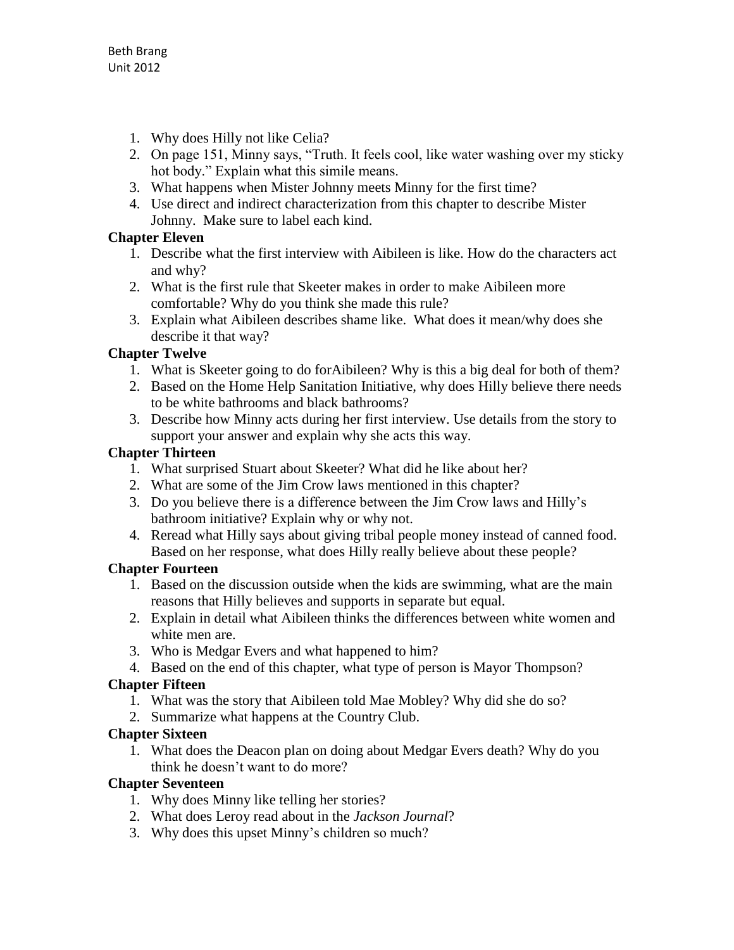- 1. Why does Hilly not like Celia?
- 2. On page 151, Minny says, "Truth. It feels cool, like water washing over my sticky hot body." Explain what this simile means.
- 3. What happens when Mister Johnny meets Minny for the first time?
- 4. Use direct and indirect characterization from this chapter to describe Mister Johnny. Make sure to label each kind.

#### **Chapter Eleven**

- 1. Describe what the first interview with Aibileen is like. How do the characters act and why?
- 2. What is the first rule that Skeeter makes in order to make Aibileen more comfortable? Why do you think she made this rule?
- 3. Explain what Aibileen describes shame like. What does it mean/why does she describe it that way?

# **Chapter Twelve**

- 1. What is Skeeter going to do forAibileen? Why is this a big deal for both of them?
- 2. Based on the Home Help Sanitation Initiative, why does Hilly believe there needs to be white bathrooms and black bathrooms?
- 3. Describe how Minny acts during her first interview. Use details from the story to support your answer and explain why she acts this way.

# **Chapter Thirteen**

- 1. What surprised Stuart about Skeeter? What did he like about her?
- 2. What are some of the Jim Crow laws mentioned in this chapter?
- 3. Do you believe there is a difference between the Jim Crow laws and Hilly's bathroom initiative? Explain why or why not.
- 4. Reread what Hilly says about giving tribal people money instead of canned food. Based on her response, what does Hilly really believe about these people?

# **Chapter Fourteen**

- 1. Based on the discussion outside when the kids are swimming, what are the main reasons that Hilly believes and supports in separate but equal.
- 2. Explain in detail what Aibileen thinks the differences between white women and white men are.
- 3. Who is Medgar Evers and what happened to him?
- 4. Based on the end of this chapter, what type of person is Mayor Thompson?

# **Chapter Fifteen**

- 1. What was the story that Aibileen told Mae Mobley? Why did she do so?
- 2. Summarize what happens at the Country Club.

#### **Chapter Sixteen**

1. What does the Deacon plan on doing about Medgar Evers death? Why do you think he doesn't want to do more?

#### **Chapter Seventeen**

- 1. Why does Minny like telling her stories?
- 2. What does Leroy read about in the *Jackson Journal*?
- 3. Why does this upset Minny's children so much?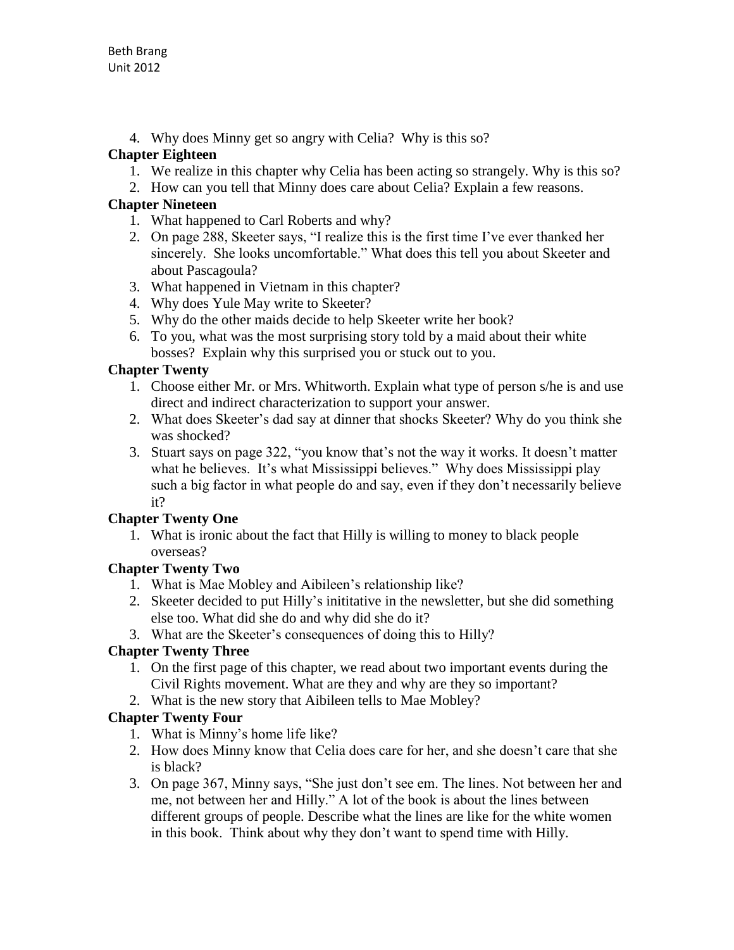4. Why does Minny get so angry with Celia? Why is this so?

# **Chapter Eighteen**

- 1. We realize in this chapter why Celia has been acting so strangely. Why is this so?
- 2. How can you tell that Minny does care about Celia? Explain a few reasons.

# **Chapter Nineteen**

- 1. What happened to Carl Roberts and why?
- 2. On page 288, Skeeter says, "I realize this is the first time I've ever thanked her sincerely. She looks uncomfortable." What does this tell you about Skeeter and about Pascagoula?
- 3. What happened in Vietnam in this chapter?
- 4. Why does Yule May write to Skeeter?
- 5. Why do the other maids decide to help Skeeter write her book?
- 6. To you, what was the most surprising story told by a maid about their white bosses? Explain why this surprised you or stuck out to you.

# **Chapter Twenty**

- 1. Choose either Mr. or Mrs. Whitworth. Explain what type of person s/he is and use direct and indirect characterization to support your answer.
- 2. What does Skeeter's dad say at dinner that shocks Skeeter? Why do you think she was shocked?
- 3. Stuart says on page 322, "you know that's not the way it works. It doesn't matter what he believes. It's what Mississippi believes." Why does Mississippi play such a big factor in what people do and say, even if they don't necessarily believe it?

# **Chapter Twenty One**

1. What is ironic about the fact that Hilly is willing to money to black people overseas?

# **Chapter Twenty Two**

- 1. What is Mae Mobley and Aibileen's relationship like?
- 2. Skeeter decided to put Hilly's inititative in the newsletter, but she did something else too. What did she do and why did she do it?
- 3. What are the Skeeter's consequences of doing this to Hilly?

# **Chapter Twenty Three**

- 1. On the first page of this chapter, we read about two important events during the Civil Rights movement. What are they and why are they so important?
- 2. What is the new story that Aibileen tells to Mae Mobley?

# **Chapter Twenty Four**

- 1. What is Minny's home life like?
- 2. How does Minny know that Celia does care for her, and she doesn't care that she is black?
- 3. On page 367, Minny says, "She just don't see em. The lines. Not between her and me, not between her and Hilly." A lot of the book is about the lines between different groups of people. Describe what the lines are like for the white women in this book. Think about why they don't want to spend time with Hilly.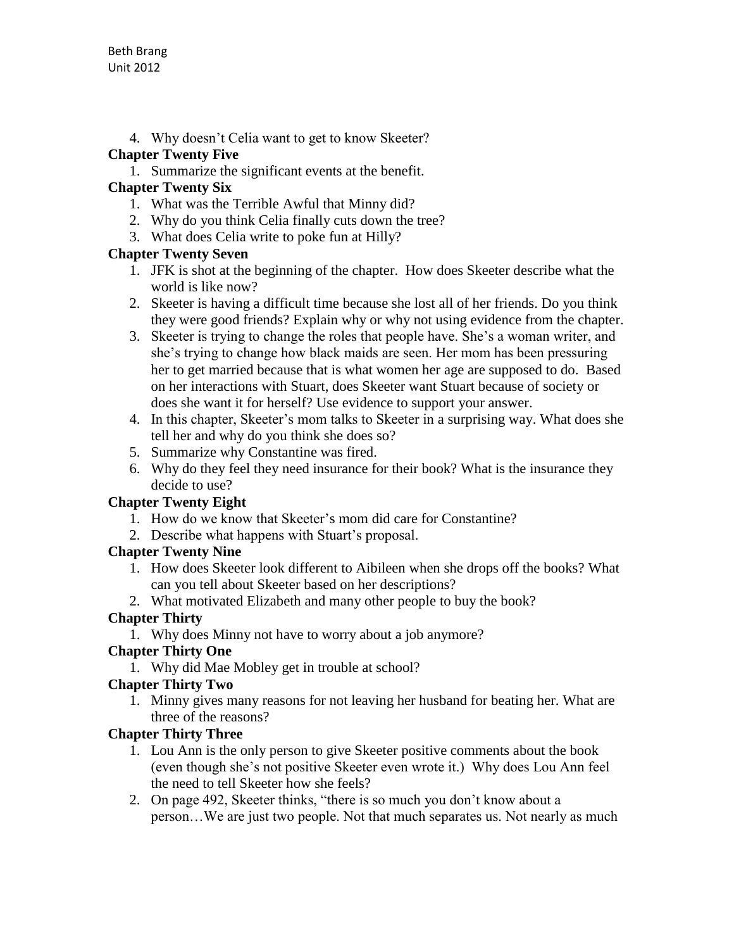4. Why doesn't Celia want to get to know Skeeter?

#### **Chapter Twenty Five**

1. Summarize the significant events at the benefit.

# **Chapter Twenty Six**

- 1. What was the Terrible Awful that Minny did?
- 2. Why do you think Celia finally cuts down the tree?
- 3. What does Celia write to poke fun at Hilly?

# **Chapter Twenty Seven**

- 1. JFK is shot at the beginning of the chapter. How does Skeeter describe what the world is like now?
- 2. Skeeter is having a difficult time because she lost all of her friends. Do you think they were good friends? Explain why or why not using evidence from the chapter.
- 3. Skeeter is trying to change the roles that people have. She's a woman writer, and she's trying to change how black maids are seen. Her mom has been pressuring her to get married because that is what women her age are supposed to do. Based on her interactions with Stuart, does Skeeter want Stuart because of society or does she want it for herself? Use evidence to support your answer.
- 4. In this chapter, Skeeter's mom talks to Skeeter in a surprising way. What does she tell her and why do you think she does so?
- 5. Summarize why Constantine was fired.
- 6. Why do they feel they need insurance for their book? What is the insurance they decide to use?

# **Chapter Twenty Eight**

- 1. How do we know that Skeeter's mom did care for Constantine?
- 2. Describe what happens with Stuart's proposal.

# **Chapter Twenty Nine**

- 1. How does Skeeter look different to Aibileen when she drops off the books? What can you tell about Skeeter based on her descriptions?
- 2. What motivated Elizabeth and many other people to buy the book?

# **Chapter Thirty**

1. Why does Minny not have to worry about a job anymore?

# **Chapter Thirty One**

1. Why did Mae Mobley get in trouble at school?

# **Chapter Thirty Two**

1. Minny gives many reasons for not leaving her husband for beating her. What are three of the reasons?

# **Chapter Thirty Three**

- 1. Lou Ann is the only person to give Skeeter positive comments about the book (even though she's not positive Skeeter even wrote it.) Why does Lou Ann feel the need to tell Skeeter how she feels?
- 2. On page 492, Skeeter thinks, "there is so much you don't know about a person…We are just two people. Not that much separates us. Not nearly as much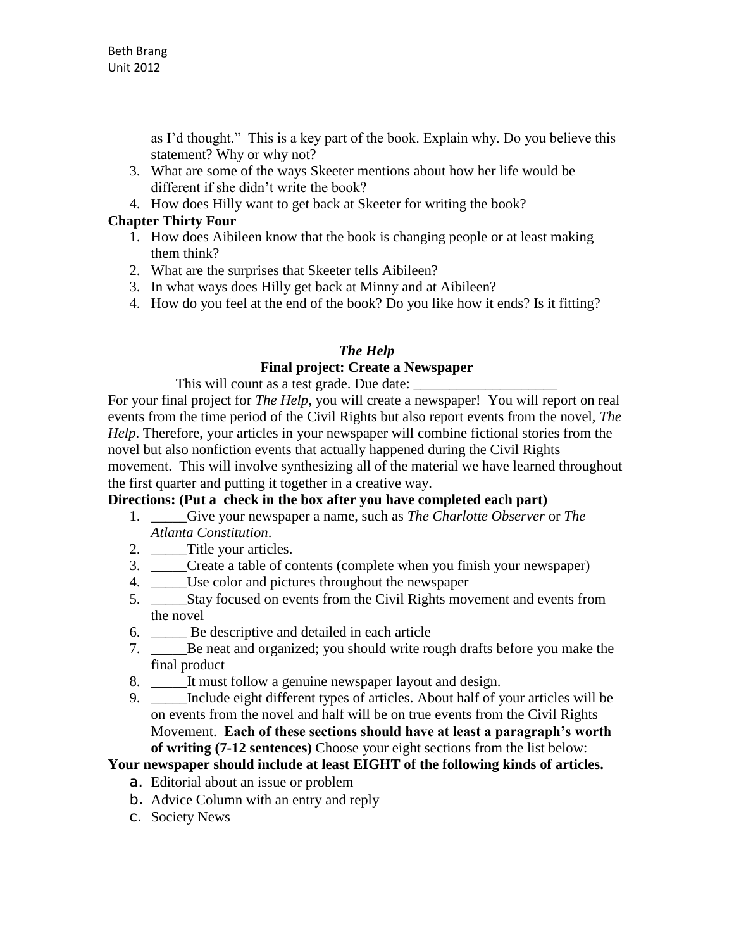as I'd thought." This is a key part of the book. Explain why. Do you believe this statement? Why or why not?

- 3. What are some of the ways Skeeter mentions about how her life would be different if she didn't write the book?
- 4. How does Hilly want to get back at Skeeter for writing the book?

#### **Chapter Thirty Four**

- 1. How does Aibileen know that the book is changing people or at least making them think?
- 2. What are the surprises that Skeeter tells Aibileen?
- 3. In what ways does Hilly get back at Minny and at Aibileen?
- 4. How do you feel at the end of the book? Do you like how it ends? Is it fitting?

#### *The Help*

#### **Final project: Create a Newspaper**

This will count as a test grade. Due date:

For your final project for *The Help*, you will create a newspaper! You will report on real events from the time period of the Civil Rights but also report events from the novel, *The Help*. Therefore, your articles in your newspaper will combine fictional stories from the novel but also nonfiction events that actually happened during the Civil Rights movement. This will involve synthesizing all of the material we have learned throughout the first quarter and putting it together in a creative way.

# **Directions: (Put a check in the box after you have completed each part)**

- 1. \_\_\_\_\_Give your newspaper a name, such as *The Charlotte Observer* or *The Atlanta Constitution*.
- 2. Title your articles.
- 3. \_\_\_\_\_Create a table of contents (complete when you finish your newspaper)
- 4. \_\_\_\_\_Use color and pictures throughout the newspaper
- 5. \_\_\_\_\_Stay focused on events from the Civil Rights movement and events from the novel
- 6. \_\_\_\_\_ Be descriptive and detailed in each article
- 7. \_\_\_\_\_Be neat and organized; you should write rough drafts before you make the final product
- 8. \_\_\_\_\_\_It must follow a genuine newspaper layout and design.
- 9. \_\_\_\_\_Include eight different types of articles. About half of your articles will be on events from the novel and half will be on true events from the Civil Rights Movement. **Each of these sections should have at least a paragraph's worth of writing (7-12 sentences)** Choose your eight sections from the list below:

#### **Your newspaper should include at least EIGHT of the following kinds of articles.**

- a. Editorial about an issue or problem
- b. Advice Column with an entry and reply
- c. Society News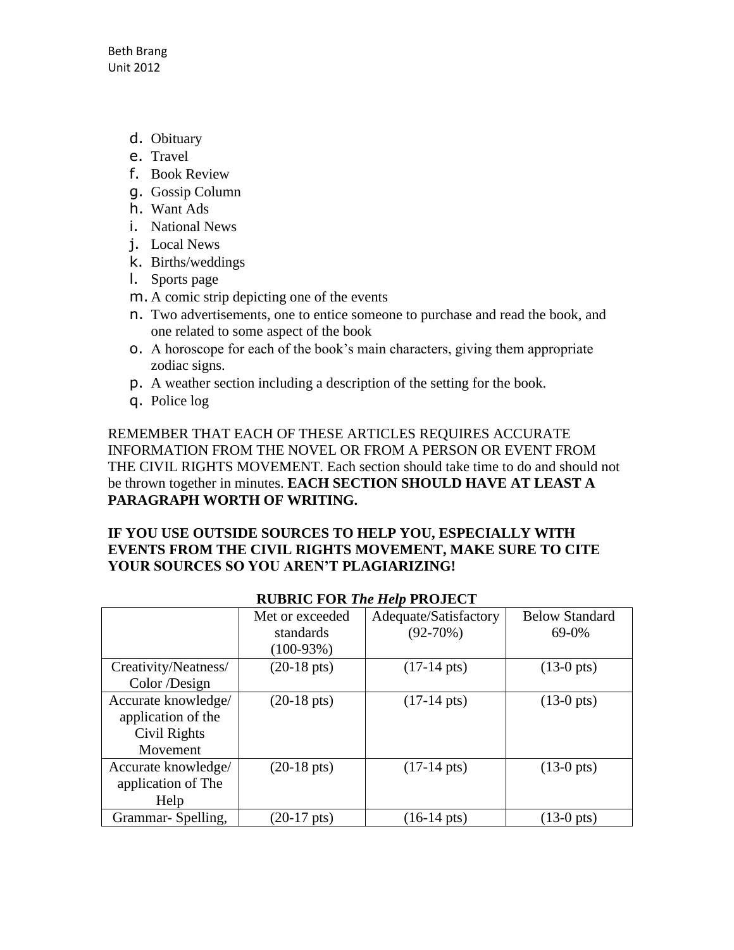- d. Obituary
- e. Travel
- f. Book Review
- g. Gossip Column
- h. Want Ads
- i. National News
- j. Local News
- k. Births/weddings
- l. Sports page
- m. A comic strip depicting one of the events
- n. Two advertisements, one to entice someone to purchase and read the book, and one related to some aspect of the book
- o. A horoscope for each of the book's main characters, giving them appropriate zodiac signs.
- p. A weather section including a description of the setting for the book.
- q. Police log

REMEMBER THAT EACH OF THESE ARTICLES REQUIRES ACCURATE INFORMATION FROM THE NOVEL OR FROM A PERSON OR EVENT FROM THE CIVIL RIGHTS MOVEMENT. Each section should take time to do and should not be thrown together in minutes. **EACH SECTION SHOULD HAVE AT LEAST A PARAGRAPH WORTH OF WRITING.**

#### **IF YOU USE OUTSIDE SOURCES TO HELP YOU, ESPECIALLY WITH EVENTS FROM THE CIVIL RIGHTS MOVEMENT, MAKE SURE TO CITE YOUR SOURCES SO YOU AREN'T PLAGIARIZING!**

|                      | Met or exceeded       | Adequate/Satisfactory | <b>Below Standard</b> |  |  |  |  |  |
|----------------------|-----------------------|-----------------------|-----------------------|--|--|--|--|--|
|                      | standards             | $(92-70%)$            | 69-0%                 |  |  |  |  |  |
|                      | $(100-93%)$           |                       |                       |  |  |  |  |  |
| Creativity/Neatness/ | $(20-18 \text{ pts})$ | $(17-14 \text{ pts})$ | $(13-0 \text{ pts})$  |  |  |  |  |  |
| Color /Design        |                       |                       |                       |  |  |  |  |  |
| Accurate knowledge/  | $(20-18 \text{ pts})$ | $(17-14 \text{ pts})$ | $(13-0)$ pts)         |  |  |  |  |  |
| application of the   |                       |                       |                       |  |  |  |  |  |
| Civil Rights         |                       |                       |                       |  |  |  |  |  |
| Movement             |                       |                       |                       |  |  |  |  |  |
| Accurate knowledge/  | $(20-18 \text{ pts})$ | $(17-14 \text{ pts})$ | $(13-0 \text{ pts})$  |  |  |  |  |  |
| application of The   |                       |                       |                       |  |  |  |  |  |
| Help                 |                       |                       |                       |  |  |  |  |  |
| Grammar-Spelling,    | $(20-17 \text{ pts})$ | $(16-14 \text{ pts})$ | $(13-0)$ pts)         |  |  |  |  |  |

#### **RUBRIC FOR** *The Help* **PROJECT**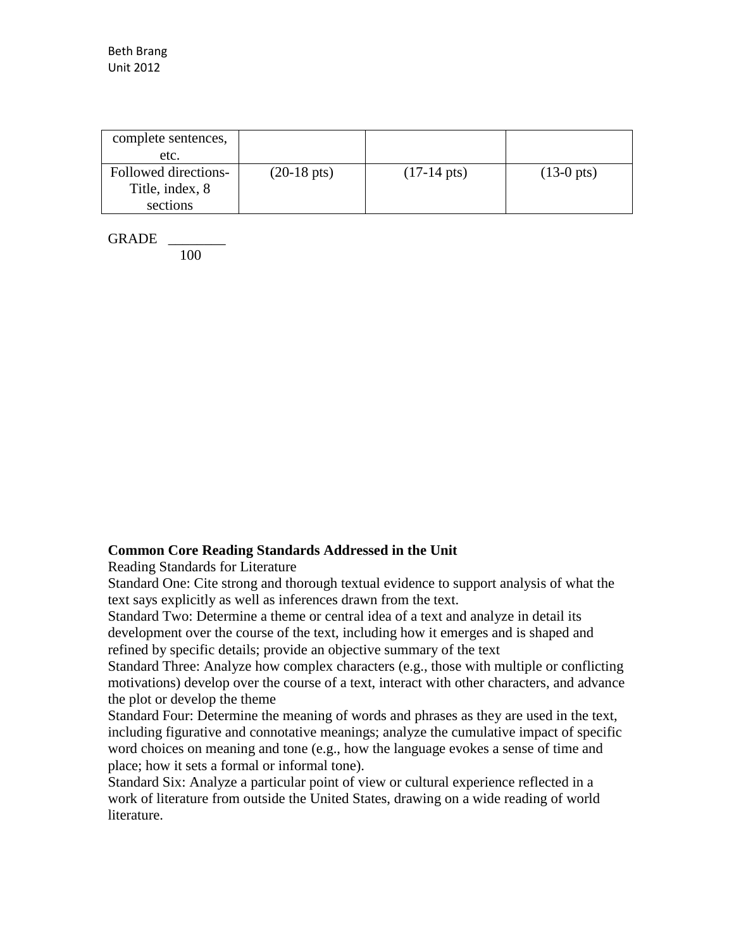| complete sentences,<br>etc.                         |                       |                       |               |
|-----------------------------------------------------|-----------------------|-----------------------|---------------|
| Followed directions-<br>Title, index, 8<br>sections | $(20-18 \text{ pts})$ | $(17-14 \text{ pts})$ | $(13-0)$ pts) |

GRADE \_\_\_\_\_\_\_\_

100

#### **Common Core Reading Standards Addressed in the Unit**

Reading Standards for Literature

Standard One: Cite strong and thorough textual evidence to support analysis of what the text says explicitly as well as inferences drawn from the text.

Standard Two: Determine a theme or central idea of a text and analyze in detail its development over the course of the text, including how it emerges and is shaped and refined by specific details; provide an objective summary of the text

Standard Three: Analyze how complex characters (e.g., those with multiple or conflicting motivations) develop over the course of a text, interact with other characters, and advance the plot or develop the theme

Standard Four: Determine the meaning of words and phrases as they are used in the text, including figurative and connotative meanings; analyze the cumulative impact of specific word choices on meaning and tone (e.g., how the language evokes a sense of time and place; how it sets a formal or informal tone).

Standard Six: Analyze a particular point of view or cultural experience reflected in a work of literature from outside the United States, drawing on a wide reading of world literature.